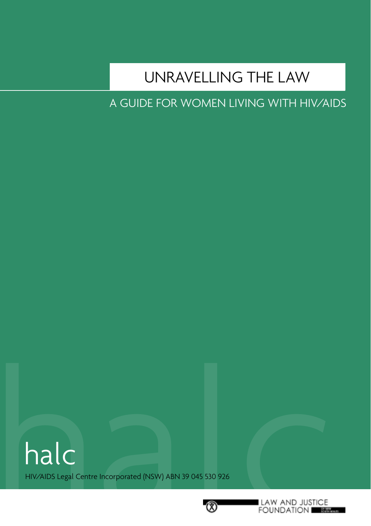## UNRAVELLING THE LAW

A GUIDE FOR WOMEN LIVING WITH HIV/AIDS

halc halc HIV/AIDS Legal Centre Incorporated (NSW) ABN 39 045 530 926

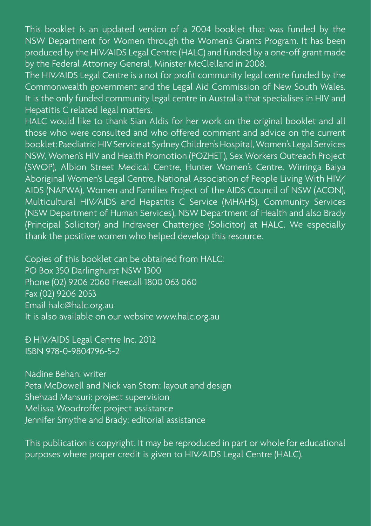This booklet is an updated version of a 2004 booklet that was funded by the NSW Department for Women through the Women's Grants Program. It has been produced by the HIV/AIDS Legal Centre (HALC) and funded by a one-off grant made by the Federal Attorney General, Minister McClelland in 2008.

The HIV/AIDS Legal Centre is a not for profit community legal centre funded by the Commonwealth government and the Legal Aid Commission of New South Wales. It is the only funded community legal centre in Australia that specialises in HIV and Hepatitis C related legal matters.

HALC would like to thank Sian Aldis for her work on the original booklet and all those who were consulted and who offered comment and advice on the current booklet: Paediatric HIV Service at Sydney Children's Hospital, Women's Legal Services NSW, Women's HIV and Health Promotion (POZHET), Sex Workers Outreach Project (SWOP), Albion Street Medical Centre, Hunter Women's Centre, Wirringa Baiya Aboriginal Women's Legal Centre, National Association of People Living With HIV/ AIDS (NAPWA), Women and Families Project of the AIDS Council of NSW (ACON), Multicultural HIV/AIDS and Hepatitis C Service (MHAHS), Community Services (NSW Department of Human Services), NSW Department of Health and also Brady (Principal Solicitor) and Indraveer Chatterjee (Solicitor) at HALC. We especially thank the positive women who helped develop this resource.

Copies of this booklet can be obtained from HALC: PO Box 350 Darlinghurst NSW 1300 Phone (02) 9206 2060 Freecall 1800 063 060 Fax (02) 9206 2053 Email halc@halc.org.au It is also available on our website www.halc.org.au

 HIV/AIDS Legal Centre Inc. 2012 ISBN 978-0-9804796-5-2

Nadine Behan: writer Peta McDowell and Nick van Stom: layout and design Shehzad Mansuri: project supervision Melissa Woodroffe: project assistance Jennifer Smythe and Brady: editorial assistance

This publication is copyright. It may be reproduced in part or whole for educational purposes where proper credit is given to HIV/AIDS Legal Centre (HALC).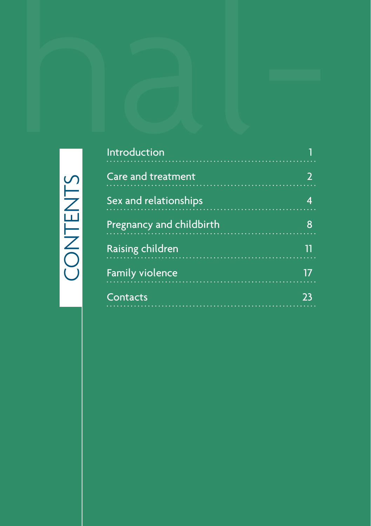# CONTENTS

|         | Introduction                                  | 1                       |
|---------|-----------------------------------------------|-------------------------|
|         | Care and treatment                            | $\overline{2}$          |
| ONTENTS | Sex and relationships<br><b>The Community</b> | $\overline{\mathbf{4}}$ |
|         | Pregnancy and childbirth                      | 8                       |
|         | Raising children                              | $\overline{\mathbf{1}}$ |
|         | <b>Family violence</b>                        | 17                      |
|         |                                               |                         |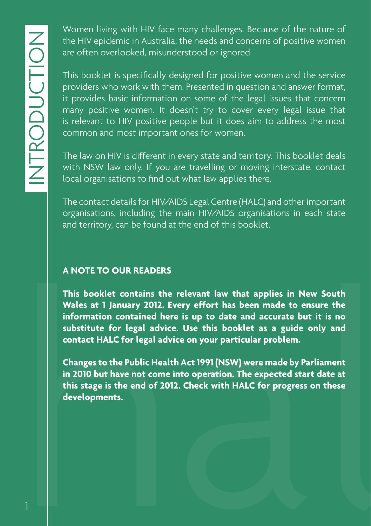Women living with HIV face many challenges. Because of the nature of the HIV epidemic in Australia, the needs and concerns of positive women are often overlooked, misunderstood or ignored.

This booklet is specifically designed for positive women and the service providers who work with them. Presented in question and answer format, it provides basic information on some of the legal issues that concern many positive women. It doesn't try to cover every legal issue that is relevant to HIV positive people but it does aim to address the most common and most important ones for women.

The law on HIV is different in every state and territory. This booklet deals with NSW law only. If you are travelling or moving interstate, contact local organisations to find out what law applies there.

The contact details for HIV/AIDS Legal Centre (HALC) and other important organisations, including the main HIV/AIDS organisations in each state and territory, can be found at the end of this booklet.

#### **A NOTE TO OUR READERS**

A NOTE TO OUR READERS<br>This booklet contains the relevant law that applies in New South<br>Wales at 1 January 2012. Every effort has been made to ensure the<br>information contained here is up to date and accurate but it is no<br>su **This booklet contains the relevant law that applies in New South Wales at 1 January 2012. Every effort has been made to ensure the information contained here is up to date and accurate but it is no substitute for legal advice. Use this booklet as a guide only and contact HALC for legal advice on your particular problem.**

**Changes to the Public Health Act 1991 (NSW) were made by Parliament in 2010 but have not come into operation. The expected start date at this stage is the end of 2012. Check with HALC for progress on these developments.**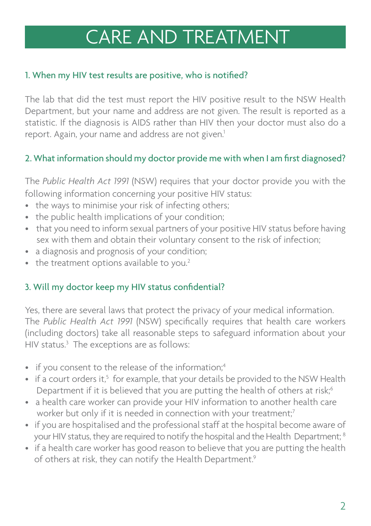# CARE AND TREATMENT

#### 1. When my HIV test results are positive, who is notified?

The lab that did the test must report the HIV positive result to the NSW Health Department, but your name and address are not given. The result is reported as a statistic. If the diagnosis is AIDS rather than HIV then your doctor must also do a report. Again, your name and address are not given.<sup>1</sup>

#### 2. What information should my doctor provide me with when I am first diagnosed?

The *Public Health Act 1991* (NSW) requires that your doctor provide you with the following information concerning your positive HIV status:

- the ways to minimise your risk of infecting others;
- the public health implications of your condition;
- that you need to inform sexual partners of your positive HIV status before having sex with them and obtain their voluntary consent to the risk of infection;
- a diagnosis and prognosis of your condition;
- $\bullet$  the treatment options available to you.<sup>2</sup>

#### 3. Will my doctor keep my HIV status confidential?

• the treatment options available to<br>
3. Will my doctor keep my HIV statu<br>
Yes, there are several laws that prote<br>
The *Public Health Act 1991* (NSW) i<br>
(including doctors) take all reasonab<br>
HIV status.<sup>3</sup> The exceptions Yes, there are several laws that protect the privacy of your medical information. The *Public Health Act 1991* (NSW) specifically requires that health care workers (including doctors) take all reasonable steps to safeguard information about your HIV status.<sup>3</sup> The exceptions are as follows:

- if you consent to the release of the information:<sup>4</sup>
- if a court orders it,<sup>5</sup> for example, that your details be provided to the NSW Health Department if it is believed that you are putting the health of others at risk;<sup>6</sup>
- a health care worker can provide your HIV information to another health care worker but only if it is needed in connection with your treatment;<sup>7</sup>
- if you are hospitalised and the professional staff at the hospital become aware of your HIV status, they are required to notify the hospital and the Health Department: <sup>8</sup>
- if a health care worker has good reason to believe that you are putting the health of others at risk, they can notify the Health Department.<sup>9</sup>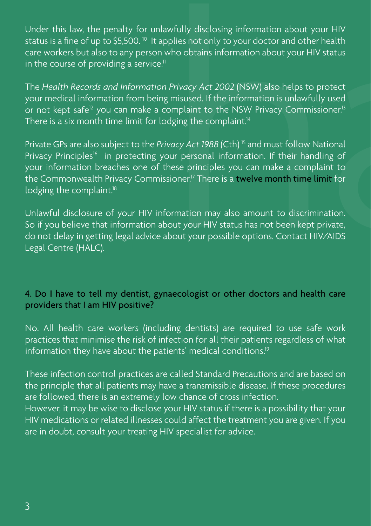status is a fine of up to \$5,500.<sup>10</sup> It applies not only to your doctor and other health care workers but also to any person who obtains information about your HIV status in the course of providing a service.<sup>11</sup>

The *Health Records and Information Privacy Act 2002* (NSW) also helps to protect your medical information from being misused. If the information is unlawfully used or not kept safe<sup>12</sup> you can make a complaint to the NSW Privacy Commissioner.<sup>13</sup> There is a six month time limit for lodging the complaint.<sup>14</sup>

Under this law, the penalty for unlawfully disclosing information about your HIV<br>status is a fine of up to \$5,500. <sup>®</sup> It applies not only to your doctor and other health<br>care workers but also to any person who obtains inf Private GPs are also subject to the *Privacy Act 1988* (Cth) 15 and must follow National Privacy Principles<sup>16</sup> in protecting your personal information. If their handling of your information breaches one of these principles you can make a complaint to the Commonwealth Privacy Commissioner.<sup>17</sup> There is a twelve month time limit for lodging the complaint.<sup>18</sup>

Unlawful disclosure of your HIV information may also amount to discrimination. So if you believe that information about your HIV status has not been kept private, do not delay in getting legal advice about your possible options. Contact HIV/AIDS Legal Centre (HALC).

#### 4. Do I have to tell my dentist, gynaecologist or other doctors and health care providers that I am HIV positive?

No. All health care workers (including dentists) are required to use safe work practices that minimise the risk of infection for all their patients regardless of what information they have about the patients' medical conditions.<sup>19</sup>

These infection control practices are called Standard Precautions and are based on the principle that all patients may have a transmissible disease. If these procedures are followed, there is an extremely low chance of cross infection. However, it may be wise to disclose your HIV status if there is a possibility that your HIV medications or related illnesses could affect the treatment you are given. If you are in doubt, consult your treating HIV specialist for advice.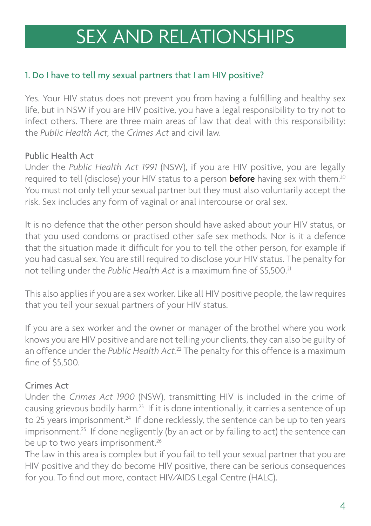#### 1. Do I have to tell my sexual partners that I am HIV positive?

Yes. Your HIV status does not prevent you from having a fulfilling and healthy sex life, but in NSW if you are HIV positive, you have a legal responsibility to try not to infect others. There are three main areas of law that deal with this responsibility: the *Public Health Act,* the *Crimes Act* and civil law.

#### Public Health Act

Under the *Public Health Act 1991* (NSW), if you are HIV positive, you are legally required to tell (disclose) your HIV status to a person **before** having sex with them.<sup>20</sup> You must not only tell your sexual partner but they must also voluntarily accept the risk. Sex includes any form of vaginal or anal intercourse or oral sex.

**SEX AND RELATIONSHIPS**<br>
1. Do I have to tell my sexual partners that I am HIV positive?<br>
Yes. Your HIV status does not prevent you from having a fulfilling and heal<br>
life, but in NSW if you are HIV positive, you have a le It is no defence that the other person should have asked about your HIV status, or that you used condoms or practised other safe sex methods. Nor is it a defence that the situation made it difficult for you to tell the other person, for example if you had casual sex. You are still required to disclose your HIV status. The penalty for not telling under the *Public Health Act* is a maximum fine of \$5.500.<sup>21</sup>

This also applies if you are a sex worker. Like all HIV positive people, the law requires that you tell your sexual partners of your HIV status.

If you are a sex worker and the owner or manager of the brothel where you work knows you are HIV positive and are not telling your clients, they can also be guilty of an offence under the *Public Health Act*.<sup>22</sup> The penalty for this offence is a maximum fine of \$5,500.

#### Crimes Act

Under the *Crimes Act 1900* (NSW), transmitting HIV is included in the crime of causing grievous bodily harm.23 If it is done intentionally, it carries a sentence of up to 25 years imprisonment.<sup>24</sup> If done recklessly, the sentence can be up to ten years  $imprisomment.<sup>25</sup>$  If done negligently (by an act or by failing to act) the sentence can be up to two years imprisonment.<sup>26</sup>

The law in this area is complex but if you fail to tell your sexual partner that you are HIV positive and they do become HIV positive, there can be serious consequences for you. To find out more, contact HIV/AIDS Legal Centre (HALC).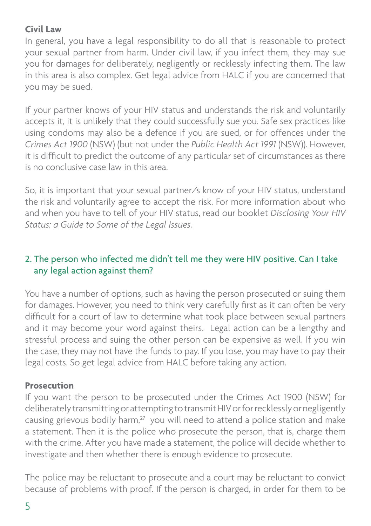#### **Civil Law**

In general, you have a legal responsibility to do all that is reasonable to protect your sexual partner from harm. Under civil law, if you infect them, they may sue you for damages for deliberately, negligently or recklessly infecting them. The law in this area is also complex. Get legal advice from HALC if you are concerned that you may be sued.

If your partner knows of your HIV status and understands the risk and voluntarily accepts it, it is unlikely that they could successfully sue you. Safe sex practices like using condoms may also be a defence if you are sued, or for offences under the *Crimes Act 1900* (NSW) (but not under the *Public Health Act 1991* (NSW)). However, it is difficult to predict the outcome of any particular set of circumstances as there is no conclusive case law in this area.

So, it is important that your sexual partner/s know of your HIV status, understand the risk and voluntarily agree to accept the risk. For more information about who and when you have to tell of your HIV status, read our booklet *Disclosing Your HIV Status: a Guide to Some of the Legal Issues.* 

#### 2. The person who infected me didn't tell me they were HIV positive. Can I take any legal action against them?

You have a number of options, such as having the person prosecuted or suing them for damages. However, you need to think very carefully first as it can often be very difficult for a court of law to determine what took place between sexual partners and it may become your word against theirs. Legal action can be a lengthy and stressful process and suing the other person can be expensive as well. If you win the case, they may not have the funds to pay. If you lose, you may have to pay their legal costs. So get legal advice from HALC before taking any action.

#### **Prosecution**

If you want the person to be prosecuted under the Crimes Act 1900 (NSW) for deliberately transmitting or attempting to transmit HIV or for recklessly or negligently causing grievous bodily harm,<sup>27</sup> you will need to attend a police station and make a statement. Then it is the police who prosecute the person, that is, charge them with the crime. After you have made a statement, the police will decide whether to investigate and then whether there is enough evidence to prosecute.

The police may be reluctant to prosecute and a court may be reluctant to convict because of problems with proof. If the person is charged, in order for them to be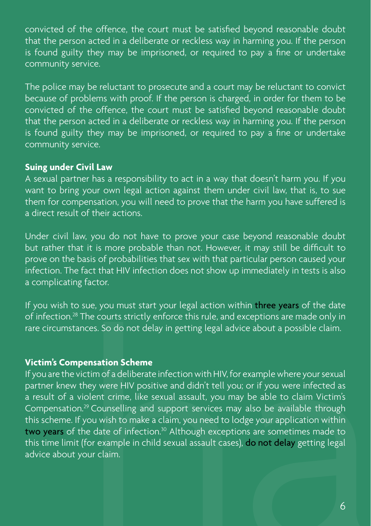convicted of the offence, the court must be satisfied beyond reasonable doubt that the person acted in a deliberate or reckless way in harming you. If the person is found guilty they may be imprisoned, or required to pay a fine or undertake community service.

The police may be reluctant to prosecute and a court may be reluctant to convict because of problems with proof. If the person is charged, in order for them to be convicted of the offence, the court must be satisfied beyond reasonable doubt that the person acted in a deliberate or reckless way in harming you. If the person is found guilty they may be imprisoned, or required to pay a fine or undertake community service.

#### **Suing under Civil Law**

A sexual partner has a responsibility to act in a way that doesn't harm you. If you want to bring your own legal action against them under civil law, that is, to sue them for compensation, you will need to prove that the harm you have suffered is a direct result of their actions.

Under civil law, you do not have to prove your case beyond reasonable doubt but rather that it is more probable than not. However, it may still be difficult to prove on the basis of probabilities that sex with that particular person caused your infection. The fact that HIV infection does not show up immediately in tests is also a complicating factor.

If you wish to sue, you must start your legal action within three years of the date of infection.28 The courts strictly enforce this rule, and exceptions are made only in rare circumstances. So do not delay in getting legal advice about a possible claim.

#### **Victim's Compensation Scheme**

sue, you must start your legal action within three years of the date<br>The courts strictly enforce this rule, and exceptions are made only in<br>reces. So do not delay in getting legal advice about a possible claim.<br>**ensation S** If you are the victim of a deliberate infection with HIV, for example where your sexual partner knew they were HIV positive and didn't tell you; or if you were infected as a result of a violent crime, like sexual assault, you may be able to claim Victim's Compensation.29 Counselling and support services may also be available through this scheme. If you wish to make a claim, you need to lodge your application within two years of the date of infection.<sup>30</sup> Although exceptions are sometimes made to this time limit (for example in child sexual assault cases), do not delay getting legal advice about your claim.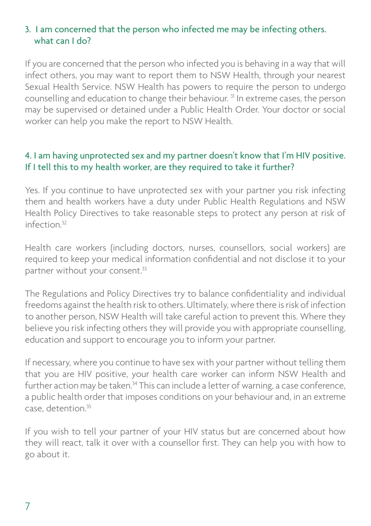#### 3. I am concerned that the person who infected me may be infecting others. what can I do?

If you are concerned that the person who infected you is behaving in a way that will infect others, you may want to report them to NSW Health, through your nearest Sexual Health Service. NSW Health has powers to require the person to undergo counselling and education to change their behaviour. 31 In extreme cases, the person may be supervised or detained under a Public Health Order. Your doctor or social worker can help you make the report to NSW Health.

#### 4. I am having unprotected sex and my partner doesn't know that I'm HIV positive. If I tell this to my health worker, are they required to take it further?

Yes. If you continue to have unprotected sex with your partner you risk infecting them and health workers have a duty under Public Health Regulations and NSW Health Policy Directives to take reasonable steps to protect any person at risk of  $inflection<sup>32</sup>$ 

Health care workers (including doctors, nurses, counsellors, social workers) are required to keep your medical information confidential and not disclose it to your partner without your consent.33

The Regulations and Policy Directives try to balance confidentiality and individual freedoms against the health risk to others. Ultimately, where there is risk of infection to another person, NSW Health will take careful action to prevent this. Where they believe you risk infecting others they will provide you with appropriate counselling, education and support to encourage you to inform your partner.

If necessary, where you continue to have sex with your partner without telling them that you are HIV positive, your health care worker can inform NSW Health and further action may be taken.<sup>34</sup> This can include a letter of warning, a case conference, a public health order that imposes conditions on your behaviour and, in an extreme case, detention.35

If you wish to tell your partner of your HIV status but are concerned about how they will react, talk it over with a counsellor first. They can help you with how to go about it.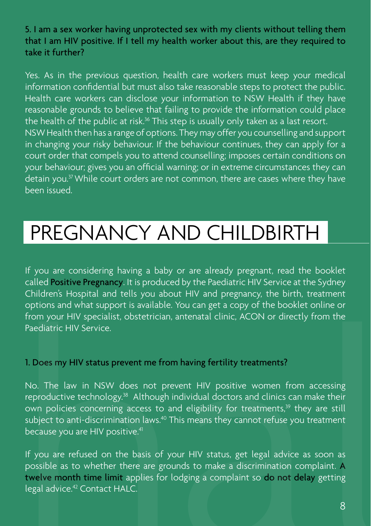5. I am a sex worker having unprotected sex with my clients without telling them that I am HIV positive. If I tell my health worker about this, are they required to take it further?

Yes. As in the previous question, health care workers must keep your medical information confidential but must also take reasonable steps to protect the public. Health care workers can disclose your information to NSW Health if they have reasonable grounds to believe that failing to provide the information could place the health of the public at risk.<sup>36</sup> This step is usually only taken as a last resort. NSW Health then has a range of options. They may offer you counselling and support in changing your risky behaviour. If the behaviour continues, they can apply for a court order that compels you to attend counselling; imposes certain conditions on your behaviour; gives you an official warning; or in extreme circumstances they can detain you.37 While court orders are not common, there are cases where they have been issued.

# PREGNANCY AND CHILDBIRTH

If you are considering having a baby or are already pregnant, read the booklet called Positive Pregnancy. It is produced by the Paediatric HIV Service at the Sydney Children's Hospital and tells you about HIV and pregnancy, the birth, treatment options and what support is available. You can get a copy of the booklet online or from your HIV specialist, obstetrician, antenatal clinic, ACON or directly from the Paediatric HIV Service.

#### 1. Does my HIV status prevent me from having fertility treatments?

No. The law in NSW does not prevent HIV positive women from accessing reproductive technology.38 Although individual doctors and clinics can make their own policies concerning access to and eligibility for treatments,<sup>39</sup> they are still subject to anti-discrimination laws.<sup>40</sup> This means they cannot refuse you treatment because you are HIV positive.<sup>41</sup> expectively the state of the state of the booklet online or profouns and what support is available. You can get a copy of the booklet online or from your HIV specialist, obstetrician, antenatal clinic, ACON or directly fro

If you are refused on the basis of your HIV status, get legal advice as soon as possible as to whether there are grounds to make a discrimination complaint. A twelve month time limit applies for lodging a complaint so do not delay getting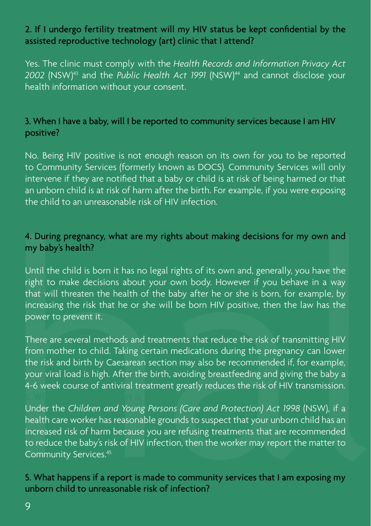#### 2. If I undergo fertility treatment will my HIV status be kept confidential by the assisted reproductive technology (art) clinic that I attend?

Yes. The clinic must comply with the *Health Records and Information Privacy Act 2002* (NSW)43 and the *Public Health Act 1991* (NSW)44 and cannot disclose your health information without your consent.

#### 3. When I have a baby, will I be reported to community services because I am HIV positive?

No. Being HIV positive is not enough reason on its own for you to be reported to Community Services (formerly known as DOCS). Community Services will only intervene if they are notified that a baby or child is at risk of being harmed or that an unborn child is at risk of harm after the birth. For example, if you were exposing the child to an unreasonable risk of HIV infection.

#### 4. During pregnancy, what are my rights about making decisions for my own and my baby's health?

4. During pregnancy, what are my rights about making decisions for my own and<br>my baby's health?<br>Until the child is born it has no legal rights of its own and, generally, you have the<br>right to make decisions about your own Until the child is born it has no legal rights of its own and, generally, you have the right to make decisions about your own body. However if you behave in a way that will threaten the health of the baby after he or she is born, for example, by increasing the risk that he or she will be born HIV positive, then the law has the power to prevent it.

There are several methods and treatments that reduce the risk of transmitting HIV from mother to child. Taking certain medications during the pregnancy can lower the risk and birth by Caesarean section may also be recommended if, for example, your viral load is high. After the birth, avoiding breastfeeding and giving the baby a 4-6 week course of antiviral treatment greatly reduces the risk of HIV transmission.

Under the *Children and Young Persons (Care and Protection) Act 1998* (NSW), if a health care worker has reasonable grounds to suspect that your unborn child has an increased risk of harm because you are refusing treatments that are recommended to reduce the baby's risk of HIV infection, then the worker may report the matter to Community Services.45

#### 5. What happens if a report is made to community services that I am exposing my unborn child to unreasonable risk of infection?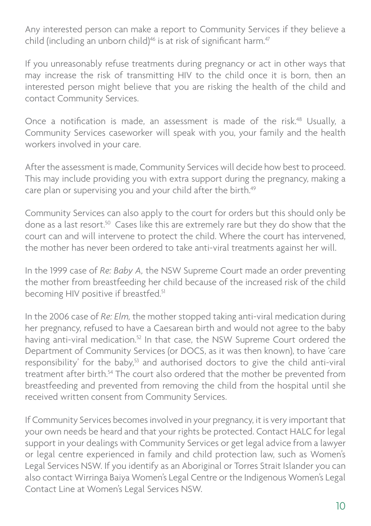Any interested person can make a report to Community Services if they believe a child (including an unborn child)<sup>46</sup> is at risk of significant harm.<sup>47</sup>

If you unreasonably refuse treatments during pregnancy or act in other ways that may increase the risk of transmitting HIV to the child once it is born, then an interested person might believe that you are risking the health of the child and contact Community Services.

Once a notification is made, an assessment is made of the risk.48 Usually, a Community Services caseworker will speak with you, your family and the health workers involved in your care.

After the assessment is made, Community Services will decide how best to proceed. This may include providing you with extra support during the pregnancy, making a care plan or supervising you and your child after the birth.<sup>49</sup>

Community Services can also apply to the court for orders but this should only be done as a last resort.50 Cases like this are extremely rare but they do show that the court can and will intervene to protect the child. Where the court has intervened, the mother has never been ordered to take anti-viral treatments against her will.

In the 1999 case of *Re: Baby A,* the NSW Supreme Court made an order preventing the mother from breastfeeding her child because of the increased risk of the child becoming HIV positive if breastfed.<sup>51</sup>

Community Services can also app<br>done as a last resort.<sup>50</sup> Cases like<br>court can and will intervene to pi<br>the mother has never been ordered<br>In the 1999 case of Re: Baby A, the<br>the mother from breastfeeding ha<br>becoming HIV In the 2006 case of *Re: Elm,* the mother stopped taking anti-viral medication during her pregnancy, refused to have a Caesarean birth and would not agree to the baby having anti-viral medication.<sup>52</sup> In that case, the NSW Supreme Court ordered the Department of Community Services (or DOCS, as it was then known), to have 'care responsibility' for the baby,<sup>53</sup> and authorised doctors to give the child anti-viral treatment after birth.<sup>54</sup> The court also ordered that the mother be prevented from breastfeeding and prevented from removing the child from the hospital until she received written consent from Community Services.

If Community Services becomes involved in your pregnancy, it is very important that your own needs be heard and that your rights be protected. Contact HALC for legal support in your dealings with Community Services or get legal advice from a lawyer or legal centre experienced in family and child protection law, such as Women's Legal Services NSW. If you identify as an Aboriginal or Torres Strait Islander you can also contact Wirringa Baiya Women's Legal Centre or the Indigenous Women's Legal Contact Line at Women's Legal Services NSW.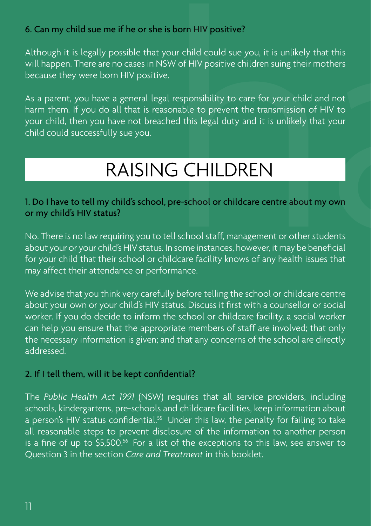#### 6. Can my child sue me if he or she is born HIV positive?

Although it is legally possible that your child could sue you, it is unlikely that this will happen. There are no cases in NSW of HIV positive children suing their mothers because they were born HIV positive.

As a parent, you have a general legal responsibility to care for your child and not harm them. If you do all that is reasonable to prevent the transmission of HIV to your child, then you have not breached this legal duty and it is unlikely that your child could successfully sue you. me if he or she is born HIV positive?<br>
possible that your child could sue you, it is unlikely that this<br>
e no cases in NSW of HIV positive children suing their mothers<br>
orn HIV positive.<br>
e a general legal responsibility t

#### 1. Do I have to tell my child's school, pre-school or childcare centre about my own or my child's HIV status?

No. There is no law requiring you to tell school staff, management or other students about your or your child's HIV status. In some instances, however, it may be beneficial for your child that their school or childcare facility knows of any health issues that may affect their attendance or performance.

We advise that you think very carefully before telling the school or childcare centre about your own or your child's HIV status. Discuss it first with a counsellor or social worker. If you do decide to inform the school or childcare facility, a social worker can help you ensure that the appropriate members of staff are involved; that only the necessary information is given; and that any concerns of the school are directly addressed.

#### 2. If I tell them, will it be kept confidential?

The *Public Health Act 1991* (NSW) requires that all service providers, including schools, kindergartens, pre-schools and childcare facilities, keep information about a person's HIV status confidential.<sup>55</sup> Under this law, the penalty for failing to take all reasonable steps to prevent disclosure of the information to another person is a fine of up to \$5,500.<sup>56</sup> For a list of the exceptions to this law, see answer to Question 3 in the section *Care and Treatment* in this booklet.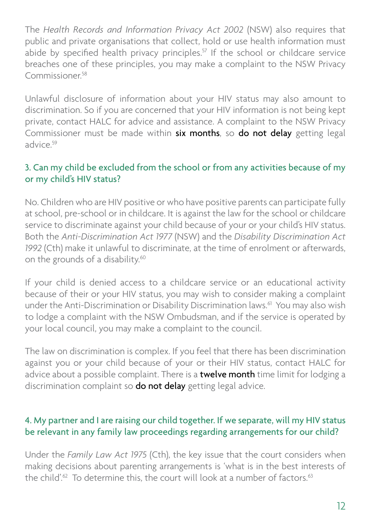public and private organisations that collect, hold or use health information must abide by specified health privacy principles.<sup>57</sup> If the school or childcare service breaches one of these principles, you may make a complaint to the NSW Privacy Commissioner<sup>58</sup>

Unlawful disclosure of information about your HIV status may also amount to discrimination. So if you are concerned that your HIV information is not being kept private, contact HALC for advice and assistance. A complaint to the NSW Privacy Commissioner must be made within six months, so do not delay getting legal advice.59

#### 3. Can my child be excluded from the school or from any activities because of my or my child's HIV status?

The *Health Records and Information Privacy Act 2002* (NSW) also requires that public and private organisations that collect, hold or use health information must abide by specified health privacy principles<sup>5</sup> <sup>1</sup>ff the sc No. Children who are HIV positive or who have positive parents can participate fully at school, pre-school or in childcare. It is against the law for the school or childcare service to discriminate against your child because of your or your child's HIV status. Both the *Anti-Discrimination Act 1977* (NSW) and the *Disability Discrimination Act 1992* (Cth) make it unlawful to discriminate, at the time of enrolment or afterwards, on the grounds of a disability.<sup>60</sup>

If your child is denied access to a childcare service or an educational activity because of their or your HIV status, you may wish to consider making a complaint under the Anti-Discrimination or Disability Discrimination laws.<sup>61</sup> You may also wish to lodge a complaint with the NSW Ombudsman, and if the service is operated by your local council, you may make a complaint to the council.

The law on discrimination is complex. If you feel that there has been discrimination against you or your child because of your or their HIV status, contact HALC for advice about a possible complaint. There is a **twelve month** time limit for lodging a discrimination complaint so **do not delay** getting legal advice.

#### 4. My partner and I are raising our child together. If we separate, will my HIV status be relevant in any family law proceedings regarding arrangements for our child?

Under the *Family Law Act 1975* (Cth), the key issue that the court considers when making decisions about parenting arrangements is 'what is in the best interests of the child'.<sup>62</sup> To determine this, the court will look at a number of factors.<sup>63</sup>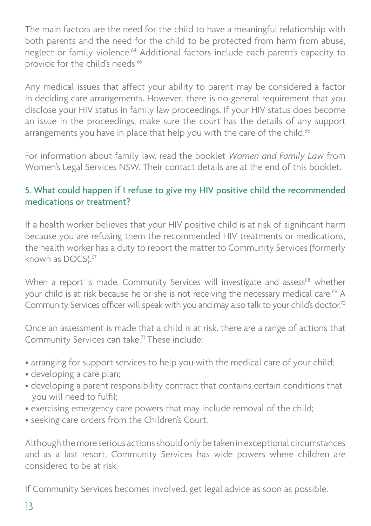The main factors are the need for the child to have a meaningful relationship with both parents and the need for the child to be protected from harm from abuse, neglect or family violence.<sup>64</sup> Additional factors include each parent's capacity to provide for the child's needs.65

Any medical issues that affect your ability to parent may be considered a factor in deciding care arrangements. However, there is no general requirement that you disclose your HIV status in family law proceedings. If your HIV status does become an issue in the proceedings, make sure the court has the details of any support arrangements you have in place that help you with the care of the child.<sup>66</sup>

For information about family law, read the booklet *Women and Family Law* from Women's Legal Services NSW. Their contact details are at the end of this booklet.

#### 5. What could happen if I refuse to give my HIV positive child the recommended medications or treatment?

If a health worker believes that your HIV positive child is at risk of significant harm because you are refusing them the recommended HIV treatments or medications, the health worker has a duty to report the matter to Community Services (formerly known as DOCS).<sup>67</sup>

When a report is made, Community Services will investigate and assess<sup>68</sup> whether your child is at risk because he or she is not receiving the necessary medical care.<sup>69</sup> A Community Services officer will speak with you and may also talk to your child's doctor.<sup>70</sup>

Once an assessment is made that a child is at risk, there are a range of actions that Community Services can take.<sup>71</sup> These include:

- arranging for support services to help you with the medical care of your child;
- developing a care plan;
- developing a parent responsibility contract that contains certain conditions that you will need to fulfil;
- exercising emergency care powers that may include removal of the child;
- seeking care orders from the Children's Court.

Although the more serious actions should only be taken in exceptional circumstances and as a last resort, Community Services has wide powers where children are considered to be at risk.

If Community Services becomes involved, get legal advice as soon as possible.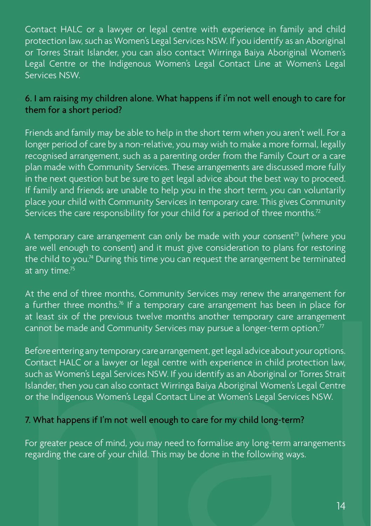Contact HALC or a lawyer or legal centre with experience in family and child protection law, such as Women's Legal Services NSW. If you identify as an Aboriginal or Torres Strait Islander, you can also contact Wirringa Baiya Aboriginal Women's Legal Centre or the Indigenous Women's Legal Contact Line at Women's Legal Services NSW.

#### 6. I am raising my children alone. What happens if i'm not well enough to care for them for a short period?

Friends and family may be able to help in the short term when you aren't well. For a longer period of care by a non-relative, you may wish to make a more formal, legally recognised arrangement, such as a parenting order from the Family Court or a care plan made with Community Services. These arrangements are discussed more fully in the next question but be sure to get legal advice about the best way to proceed. If family and friends are unable to help you in the short term, you can voluntarily place your child with Community Services in temporary care. This gives Community Services the care responsibility for your child for a period of three months.<sup>72</sup>

A temporary care arrangement can only be made with your consent<sup>73</sup> (where you are well enough to consent) and it must give consideration to plans for restoring the child to you.<sup>74</sup> During this time you can request the arrangement be terminated at any time. $5<sup>75</sup>$ 

At the end of three months, Community Services may renew the arrangement for a further three months.<sup>76</sup> If a temporary care arrangement has been in place for at least six of the previous twelve months another temporary care arrangement cannot be made and Community Services may pursue a longer-term option.<sup>77</sup>

A for the momentum, contained the momentum of the momentum of the momentum of the moment and further these months.<sup>74</sup> If a temporary care arrangement has been in place for at least six of the previous twelve months anothe Before entering any temporary care arrangement, get legal advice about your options. Contact HALC or a lawyer or legal centre with experience in child protection law, such as Women's Legal Services NSW. If you identify as an Aboriginal or Torres Strait Islander, then you can also contact Wirringa Baiya Aboriginal Women's Legal Centre or the Indigenous Women's Legal Contact Line at Women's Legal Services NSW.

#### 7. What happens if I'm not well enough to care for my child long-term?

For greater peace of mind, you may need to formalise any long-term arrangements regarding the care of your child. This may be done in the following ways.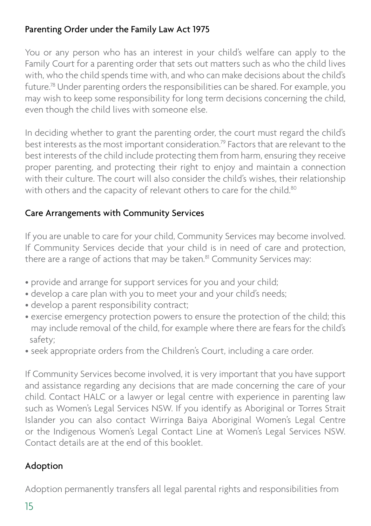#### Parenting Order under the Family Law Act 1975

You or any person who has an interest in your child's welfare can apply to the Family Court for a parenting order that sets out matters such as who the child lives with, who the child spends time with, and who can make decisions about the child's future.78 Under parenting orders the responsibilities can be shared. For example, you may wish to keep some responsibility for long term decisions concerning the child, even though the child lives with someone else.

In deciding whether to grant the parenting order, the court must regard the child's best interests as the most important consideration.79 Factors that are relevant to the best interests of the child include protecting them from harm, ensuring they receive proper parenting, and protecting their right to enjoy and maintain a connection with their culture. The court will also consider the child's wishes, their relationship with others and the capacity of relevant others to care for the child.<sup>80</sup>

#### Care Arrangements with Community Services

If you are unable to care for your child, Community Services may become involved. If Community Services decide that your child is in need of care and protection, there are a range of actions that may be taken.<sup>81</sup> Community Services may:

- provide and arrange for support services for you and your child;
- develop a care plan with you to meet your and your child's needs;
- develop a parent responsibility contract;
- exercise emergency protection powers to ensure the protection of the child; this may include removal of the child, for example where there are fears for the child's safety;
- seek appropriate orders from the Children's Court, including a care order.

If Community Services become involved, it is very important that you have support and assistance regarding any decisions that are made concerning the care of your child. Contact HALC or a lawyer or legal centre with experience in parenting law such as Women's Legal Services NSW. If you identify as Aboriginal or Torres Strait Islander you can also contact Wirringa Baiya Aboriginal Women's Legal Centre or the Indigenous Women's Legal Contact Line at Women's Legal Services NSW. Contact details are at the end of this booklet.

## Adoption

Adoption permanently transfers all legal parental rights and responsibilities from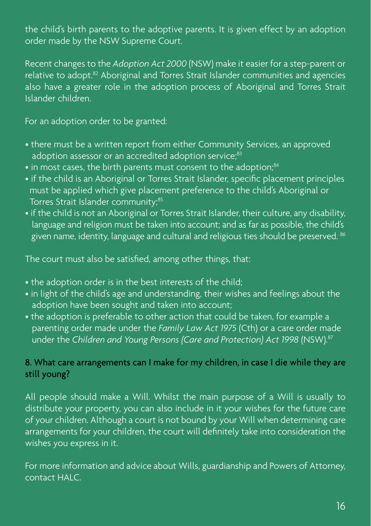the child's birth parents to the adoptive parents. It is given effect by an adoption order made by the NSW Supreme Court.

Recent changes to the *Adoption Act 2000* (NSW) make it easier for a step-parent or relative to adopt.82 Aboriginal and Torres Strait Islander communities and agencies also have a greater role in the adoption process of Aboriginal and Torres Strait Islander children.

For an adoption order to be granted:

- there must be a written report from either Community Services, an approved adoption assessor or an accredited adoption service;<sup>83</sup>
- in most cases, the birth parents must consent to the adoption;<sup>84</sup>
- if the child is an Aboriginal or Torres Strait Islander, specific placement principles must be applied which give placement preference to the child's Aboriginal or Torres Strait Islander community;<sup>85</sup>
- if the child is not an Aboriginal or Torres Strait Islander, their culture, any disability, language and religion must be taken into account; and as far as possible, the child's given name, identity, language and cultural and religious ties should be preserved. 86

The court must also be satisfied, among other things, that:

- the adoption order is in the best interests of the child;
- in light of the child's age and understanding, their wishes and feelings about the adoption have been sought and taken into account;
- the adoption is preferable to other action that could be taken, for example a parenting order made under the *Family Law Act 1975* (Cth) or a care order made under the *Children and Young Persons (Care and Protection) Act 1998* (NSW).87

#### 8. What care arrangements can I make for my children, in case I die while they are still young?

All people should make a Will. Whilst the main purpose of a Will is usually to distribute your property, you can also include in it your wishes for the future care of your children. Although a court is not bound by your Will when determining care arrangements for your children, the court will definitely take into consideration the wishes you express in it.

For more information and advice about Wills, guardianship and Powers of Attorney, contact HALC.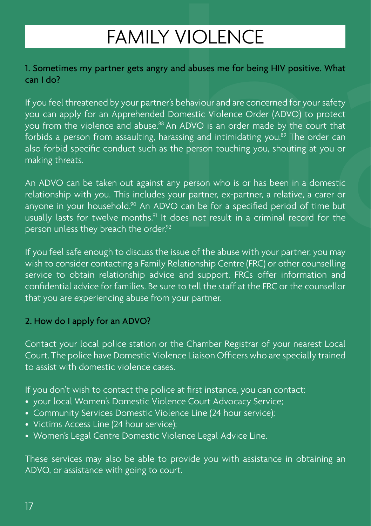#### 1. Sometimes my partner gets angry and abuses me for being HIV positive. What can I do?

**FAMILY VIOLENCE**<br>
ther gets angry and abuses me for being HIV positive. What<br>
bly your partner's behaviour and are concerned for your safety<br>
a Apprehended Domestic Violence Order (ADVO) to protect<br>
e and abuse.<sup>88</sup> An AD If you feel threatened by your partner's behaviour and are concerned for your safety you can apply for an Apprehended Domestic Violence Order (ADVO) to protect you from the violence and abuse.88 An ADVO is an order made by the court that forbids a person from assaulting, harassing and intimidating you.<sup>89</sup> The order can also forbid specific conduct such as the person touching you, shouting at you or making threats.

An ADVO can be taken out against any person who is or has been in a domestic relationship with you. This includes your partner, ex-partner, a relative, a carer or anyone in your household.<sup>90</sup> An ADVO can be for a specified period of time but usually lasts for twelve months.<sup>91</sup> It does not result in a criminal record for the person unless they breach the order.<sup>92</sup>

If you feel safe enough to discuss the issue of the abuse with your partner, you may wish to consider contacting a Family Relationship Centre (FRC) or other counselling service to obtain relationship advice and support. FRCs offer information and confidential advice for families. Be sure to tell the staff at the FRC or the counsellor that you are experiencing abuse from your partner.

#### 2. How do I apply for an ADVO?

Contact your local police station or the Chamber Registrar of your nearest Local Court. The police have Domestic Violence Liaison Officers who are specially trained to assist with domestic violence cases.

If you don't wish to contact the police at first instance, you can contact:

- your local Women's Domestic Violence Court Advocacy Service;
- Community Services Domestic Violence Line (24 hour service);
- Victims Access Line (24 hour service);
- Women's Legal Centre Domestic Violence Legal Advice Line.

These services may also be able to provide you with assistance in obtaining an ADVO, or assistance with going to court.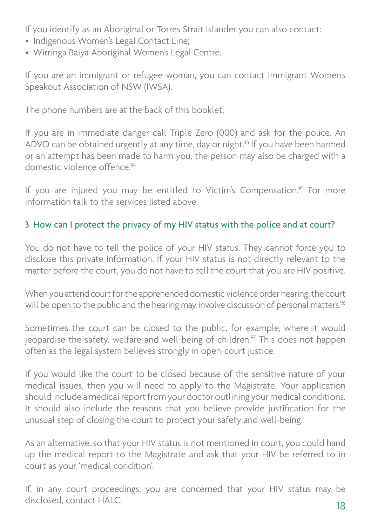- Indigenous Women's Legal Contact Line;
- Wirringa Baiya Aboriginal Women's Legal Centre.

If you are an immigrant or refugee woman, you can contact Immigrant Women's Speakout Association of NSW (IWSA).

The phone numbers are at the back of this booklet.

If you identify as an Aboriginal or Torres Strait Islander you can also contact:<br>
• Mirringa Baiya Aboriginal Women's Legal Centre.<br>
• Wirringa Baiya Aboriginal Women's Legal Centre.<br>
If you are an immigrant or refugee wom If you are in immediate danger call Triple Zero (000) and ask for the police. An ADVO can be obtained urgently at any time, day or night.<sup>93</sup> If you have been harmed or an attempt has been made to harm you, the person may also be charged with a domestic violence offence<sup>94</sup>

If you are injured you may be entitled to Victim's Compensation.<sup>95</sup> For more information talk to the services listed above.

## 3. How can I protect the privacy of my HIV status with the police and at court?

You do not have to tell the police of your HIV status. They cannot force you to disclose this private information. If your HIV status is not directly relevant to the matter before the court, you do not have to tell the court that you are HIV positive.

When you attend court for the apprehended domestic violence order hearing, the court will be open to the public and the hearing may involve discussion of personal matters.<sup>96</sup>

Sometimes the court can be closed to the public, for example, where it would jeopardise the safety, welfare and well-being of children.<sup>97</sup> This does not happen often as the legal system believes strongly in open-court justice.

If you would like the court to be closed because of the sensitive nature of your medical issues, then you will need to apply to the Magistrate. Your application should include a medical report from your doctor outlining your medical conditions. It should also include the reasons that you believe provide justification for the unusual step of closing the court to protect your safety and well-being.

As an alternative, so that your HIV status is not mentioned in court, you could hand up the medical report to the Magistrate and ask that your HIV be referred to in court as your 'medical condition'.

If, in any court proceedings, you are concerned that your HIV status may be disclosed, contact HALC.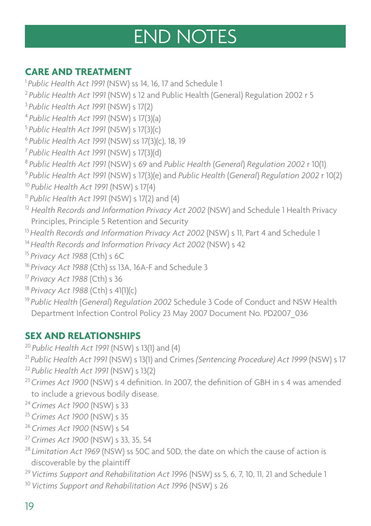# END NOTES

## **CARE AND TREATMENT**

<sup>1</sup> Public Health Act 1991 (NSW) ss 14, 16, 17 and Schedule 1 *Public Health Act 1991* (NSW) s 12 and Public Health (General) Regulation 2002 r 5 *Public Health Act 1991* (NSW) s 17(2) *Public Health Act 1991* (NSW) s 17(3)(a) *Public Health Act 1991* (NSW) s 17(3)(c) *Public Health Act 1991* (NSW) ss 17(3)(c), 18, 19 *Public Health Act 1991* (NSW) s 17(3)(d) *Public Health Act 1991* (NSW) s 69 and *Public Health* (*General*) *Regulation 2002* r 10(1) *Public Health Act 1991* (NSW) s 17(3)(e) and *Public Health* (*General*) *Regulation 2002* r 10(2) *Public Health Act 1991* (NSW) s 17(4) *Public Health Act 1991* (NSW) s 17(2) and (4) *Health Records and Information Privacy Act 2002* (NSW) and Schedule 1 Health Privacy Principles, Principle 5 Retention and Security *Health Records and Information Privacy Act 2002* (NSW) s 11, Part 4 and Schedule 1 *Health Records and Information Privacy Act 2002* (NSW) s 42 *Privacy Act 1988* (Cth) s 6C *Privacy Act 1988* (Cth) ss 13A, 16A-F and Schedule 3 *Privacy Act 1988* (Cth) s 36 <sup>18</sup> Privacy Act 1988 (Cth) s 41(1)(c)<br><sup>19</sup> Public Health (*General*) Regulation 2002 Schedule 3 Code of Conduct and NSW Health Department Infection Control Policy 23 May 2007 Document No. PD2007\_036

## **SEX AND RELATIONSHIPS**

*Public Health Act 1991* (NSW) s 13(1) and (4)

*Public Health Act 1991* (NSW) s 13(1) and Crimes *(Sentencing Procedure) Act 1999* (NSW) s 17 *Public Health Act 1991* (NSW) s 13(2)

- *Crimes Act 1900* (NSW) s 4 definition. In 2007, the definition of GBH in s 4 was amended to include a grievous bodily disease.
- *Crimes Act 1900* (NSW) s 33
- *Crimes Act 1900* (NSW) s 35
- *Crimes Act 1900* (NSW) s 54
- 
- <sup>27</sup> Crimes Act 1900 (NSW) s 33, 35, 54<br><sup>28</sup> Limitation Act 1969 (NSW) ss 50C and 50D, the date on which the cause of action is discoverable by the plaintiff
- *Victims Support and Rehabilitation Act 1996* (NSW) ss 5, 6, 7, 10, 11, 21 and Schedule 1 *Victims Support and Rehabilitation Act 1996* (NSW) s 26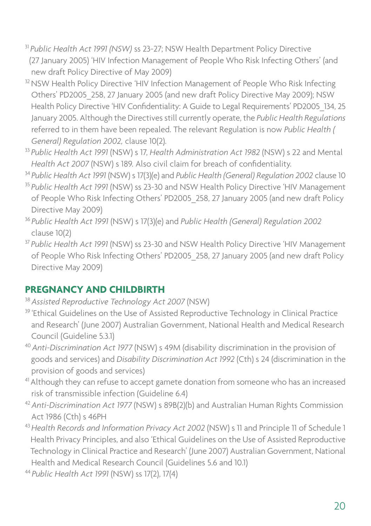- <sup>31</sup>*Public Health Act 1991 (NSW)* ss 23-27; NSW Health Department Policy Directive (27 January 2005) 'HIV Infection Management of People Who Risk Infecting Others' (and new draft Policy Directive of May 2009)
- <sup>32</sup> NSW Health Policy Directive 'HIV Infection Management of People Who Risk Infecting Others' PD2005\_258, 27 January 2005 (and new draft Policy Directive May 2009); NSW Health Policy Directive 'HIV Confidentiality: A Guide to Legal Requirements' PD2005\_134, 25 January 2005. Although the Directives still currently operate, the *Public Health Regulations* referred to in them have been repealed. The relevant Regulation is now *Public Health ( General) Regulation 2002,* clause 10(2).
- <sup>33</sup>*Public Health Act 1991* (NSW) s 17, *Health Administration Act 1982* (NSW) s 22 and Mental *Health Act 2007* (NSW) s 189. Also civil claim for breach of confidentiality.
- <sup>34</sup>*Public Health Act 1991* (NSW) s 17(3)(e) and *Public Health (General) Regulation 2002* clause 10
- <sup>35</sup>*Public Health Act 1991* (NSW) ss 23-30 and NSW Health Policy Directive 'HIV Management of People Who Risk Infecting Others' PD2005\_258, 27 January 2005 (and new draft Policy Directive May 2009)
- <sup>36</sup>*Public Health Act 1991* (NSW) s 17(3)(e) and *Public Health (General) Regulation 2002* clause 10(2)
- <sup>37</sup>*Public Health Act 1991* (NSW) ss 23-30 and NSW Health Policy Directive 'HIV Management of People Who Risk Infecting Others' PD2005\_258, 27 January 2005 (and new draft Policy Directive May 2009)

## **PREGNANCY AND CHILDBIRTH**

<sup>38</sup>*Assisted Reproductive Technology Act 2007* (NSW)

- <sup>39</sup> 'Ethical Guidelines on the Use of Assisted Reproductive Technology in Clinical Practice and Research' (June 2007) Australian Government, National Health and Medical Research Council (Guideline 5.3.1)
- <sup>40</sup>*Anti-Discrimination Act 1977* (NSW) s 49M (disability discrimination in the provision of goods and services) and *Disability Discrimination Act 1992* (Cth) s 24 (discrimination in the provision of goods and services)
- <sup>41</sup> Although they can refuse to accept gamete donation from someone who has an increased risk of transmissible infection (Guideline 6.4)
- <sup>42</sup>*Anti-Discrimination Act 1977* (NSW) s 89B(2)(b) and Australian Human Rights Commission Act 1986 (Cth) s 46PH
- <sup>43</sup>*Health Records and Information Privacy Act 2002* (NSW) s 11 and Principle 11 of Schedule 1 Health Privacy Principles, and also 'Ethical Guidelines on the Use of Assisted Reproductive Technology in Clinical Practice and Research' (June 2007) Australian Government, National Health and Medical Research Council (Guidelines 5.6 and 10.1)
- <sup>44</sup>*Public Health Act 1991* (NSW) ss 17(2), 17(4)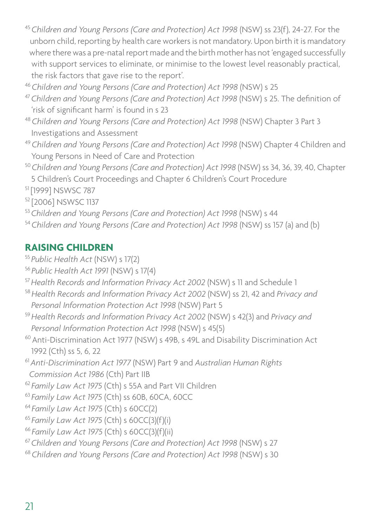- <sup>45</sup>*Children and Young Persons (Care and Protection) Act 1998* (NSW) ss 23(f), 24-27. For the unborn child, reporting by health care workers is not mandatory. Upon birth it is mandatory where there was a pre-natal report made and the birth mother has not 'engaged successfully with support services to eliminate, or minimise to the lowest level reasonably practical, the risk factors that gave rise to the report'.
- <sup>46</sup>*Children and Young Persons (Care and Protection) Act 1998* (NSW) s 25
- <sup>47</sup>*Children and Young Persons (Care and Protection) Act 1998* (NSW) s 25. The definition of 'risk of significant harm' is found in s 23
- <sup>48</sup>*Children and Young Persons (Care and Protection) Act 1998* (NSW) Chapter 3 Part 3 Investigations and Assessment
- <sup>49</sup>*Children and Young Persons (Care and Protection) Act 1998* (NSW) Chapter 4 Children and Young Persons in Need of Care and Protection
- <sup>50</sup>*Children and Young Persons (Care and Protection) Act 1998* (NSW) ss 34, 36, 39, 40, Chapter 5 Children's Court Proceedings and Chapter 6 Children's Court Procedure
- 51 [1999] NSWSC 787

52 [2006] NSWSC 1137

- <sup>53</sup>*Children and Young Persons (Care and Protection) Act 1998* (NSW) s 44
- <sup>54</sup>*Children and Young Persons (Care and Protection) Act 1998* (NSW) ss 157 (a) and (b)

#### **RAISING CHILDREN**

- <sup>55</sup>*Public Health Act* (NSW) s 17(2)
- <sup>56</sup>*Public Health Act 1991* (NSW) s 17(4)
- <sup>57</sup>*Health Records and Information Privacy Act 2002* (NSW) s 11 and Schedule 1
- <sup>58</sup>*Health Records and Information Privacy Act 2002* (NSW) ss 21, 42 and *Privacy and Personal Information Protection Act 1998* (NSW) Part 5
- <sup>59</sup>*Health Records and Information Privacy Act 2002* (NSW) s 42(3) and *Privacy and Personal Information Protection Act 1998* (NSW) s 45(5)
- 60 Anti-Discrimination Act 1977 (NSW) s 49B, s 49L and Disability Discrimination Act 1992 (Cth) ss 5, 6, 22
- <sup>61</sup>*Anti-Discrimination Act 1977* (NSW) Part 9 and *Australian Human Rights Commission Act 1986* (Cth) Part IIB
- <sup>62</sup>*Family Law Act 1975* (Cth) s 55A and Part VII Children
- <sup>63</sup>*Family Law Act 1975* (Cth) ss 60B, 60CA, 60CC 64 *Family Law Act 1975* (Cth) s 60CC(2)
- 
- <sup>65</sup>*Family Law Act 1975* (Cth) s 60CC(3)(f)(i)
- <sup>66</sup>*Family Law Act 1975* (Cth) s 60CC(3)(f)(ii)
- <sup>67</sup>*Children and Young Persons (Care and Protection) Act 1998* (NSW) s 27
- <sup>68</sup>*Children and Young Persons (Care and Protection) Act 1998* (NSW) s 30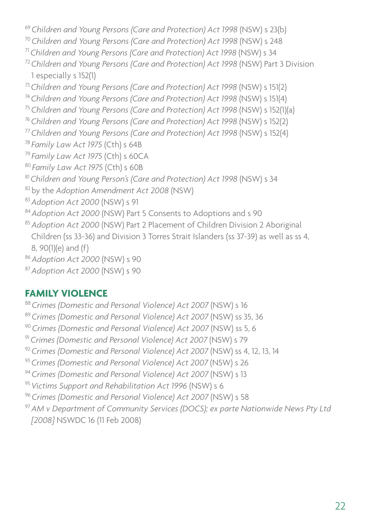*Children and Young Persons (Care and Protection) Act 1998* (NSW) s 23(b) *Children and Young Persons (Care and Protection) Act 1998* (NSW) s 248 71 *Children and Young Persons (Care and Protection) Act 1998* (NSW) s 34 *Children and Young Persons (Care and Protection) Act 1998* (NSW) Part 3 Division 1 especially s 152(1) *Children and Young Persons (Care and Protection) Act 1998* (NSW) s 151(2) *Children and Young Persons (Care and Protection) Act 1998* (NSW) s 151(4) *Children and Young Persons (Care and Protection) Act 1998* (NSW) s 152(1)(a) *Children and Young Persons (Care and Protection) Act 1998* (NSW) s 152(2) *Children and Young Persons (Care and Protection) Act 1998* (NSW) s 152(4) *Family Law Act 1975* (Cth) s 64B *Family Law Act 1975* (Cth) s 60CA *Family Law Act 1975* (Cth) s 60B *Children and Young Person's (Care and Protection) Act 1998* (NSW) s 34 82 by the *Adoption Amendment Act 2008* (NSW) *Adoption Act 2000* (NSW) s 91 *Adoption Act 2000* (NSW) Part 5 Consents to Adoptions and s 90 *Adoption Act 2000* (NSW) Part 2 Placement of Children Division 2 Aboriginal Children (ss 33-36) and Division 3 Torres Strait Islanders (ss 37-39) as well as ss 4, 8, 90(1)(e) and (f) *Adoption Act 2000* (NSW) s 90 *Adoption Act 2000* (NSW) s 90

#### **FAMILY VIOLENCE**

- *Crimes (Domestic and Personal Violence) Act 2007* (NSW) s 16 *Crimes (Domestic and Personal Violence) Act 2007* (NSW) ss 35, 36 *Crimes (Domestic and Personal Violence) Act 2007* (NSW) ss 5, 6 *Crimes (Domestic and Personal Violence) Act 2007* (NSW) s 79 *Crimes (Domestic and Personal Violence) Act 2007* (NSW) ss 4, 12, 13, 14
- *Crimes (Domestic and Personal Violence) Act 2007* (NSW) s 26
- *Crimes (Domestic and Personal Violence) Act 2007* (NSW) s 13
- *Victims Support and Rehabilitation Act 1996* (NSW) s 6
- *Crimes (Domestic and Personal Violence) Act 2007* (NSW) s 58
- *AM v Department of Community Services (DOCS); ex parte Nationwide News Pty Ltd [2008]* NSWDC 16 (11 Feb 2008)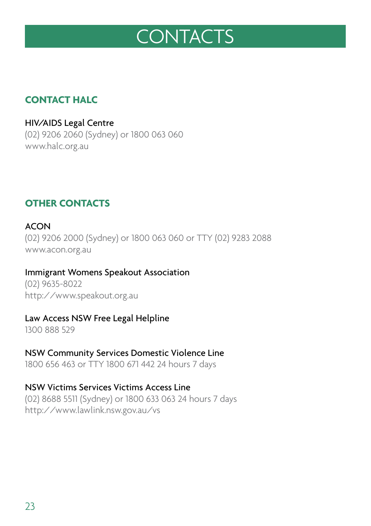# **CONTACTS**

#### **CONTACT HALC**

HIV/AIDS Legal Centre (02) 9206 2060 (Sydney) or 1800 063 060 www.halc.org.au

#### **OTHER CONTACTS**

#### ACON

(02) 9206 2000 (Sydney) or 1800 063 060 or TTY (02) 9283 2088 www.acon.org.au

#### Immigrant Womens Speakout Association

(02) 9635-8022 http://www.speakout.org.au

#### Law Access NSW Free Legal Helpline

1300 888 529

#### NSW Community Services Domestic Violence Line

1800 656 463 or TTY 1800 671 442 24 hours 7 days

#### NSW Victims Services Victims Access Line

(02) 8688 5511 (Sydney) or 1800 633 063 24 hours 7 days http://www.lawlink.nsw.gov.au/vs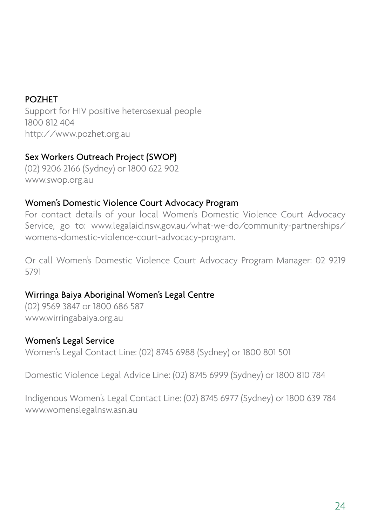#### POZHET

Support for HIV positive heterosexual people 1800 812 404 http://www.pozhet.org.au

#### Sex Workers Outreach Project (SWOP)

(02) 9206 2166 (Sydney) or 1800 622 902 www.swop.org.au

#### Women's Domestic Violence Court Advocacy Program

For contact details of your local Women's Domestic Violence Court Advocacy Service, go to: www.legalaid.nsw.gov.au/what-we-do/community-partnerships/ womens-domestic-violence-court-advocacy-program.

Or call Women's Domestic Violence Court Advocacy Program Manager: 02 9219 5791

#### Wirringa Baiya Aboriginal Women's Legal Centre

(02) 9569 3847 or 1800 686 587 www.wirringabaiya.org.au

#### Women's Legal Service

Women's Legal Contact Line: (02) 8745 6988 (Sydney) or 1800 801 501

Domestic Violence Legal Advice Line: (02) 8745 6999 (Sydney) or 1800 810 784

Indigenous Women's Legal Contact Line: (02) 8745 6977 (Sydney) or 1800 639 784 www.womenslegalnsw.asn.au